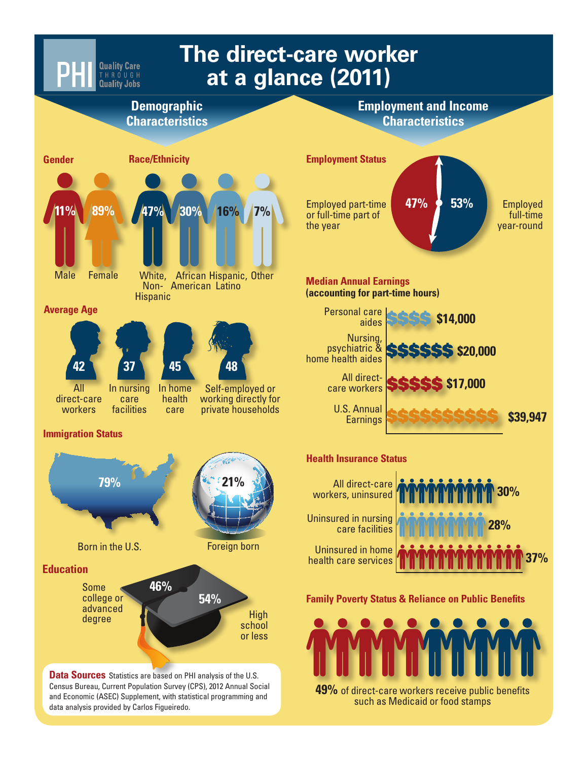